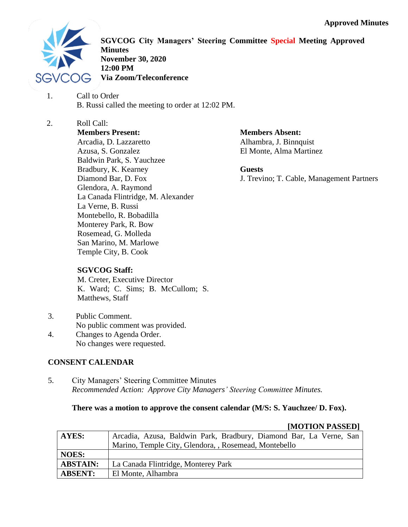

**SGVCOG City Managers' Steering Committee Special Meeting Approved Minutes November 30, 2020 12:00 PM Via Zoom/Teleconference**

- 1. Call to Order B. Russi called the meeting to order at 12:02 PM.
- 2. Roll Call: **Members Present:** Arcadia, D. Lazzaretto Azusa, S. Gonzalez Baldwin Park, S. Yauchzee Bradbury, K. Kearney Diamond Bar, D. Fox Glendora, A. Raymond La Canada Flintridge, M. Alexander La Verne, B. Russi Montebello, R. Bobadilla Monterey Park, R. Bow Rosemead, G. Molleda San Marino, M. Marlowe Temple City, B. Cook

**Members Absent:**

Alhambra, J. Binnquist El Monte, Alma Martinez

**Guests**

J. Trevino; T. Cable, Management Partners

# **SGVCOG Staff:**

M. Creter, Executive Director K. Ward; C. Sims; B. McCullom; S. Matthews, Staff

- 3. Public Comment. No public comment was provided.
- 4. Changes to Agenda Order. No changes were requested.

# **CONSENT CALENDAR**

5. City Managers' Steering Committee Minutes *Recommended Action: Approve City Managers' Steering Committee Minutes.*

# **There was a motion to approve the consent calendar (M/S: S. Yauchzee/ D. Fox).**

# **[MOTION PASSED]**

| <b>AYES:</b>    | Arcadia, Azusa, Baldwin Park, Bradbury, Diamond Bar, La Verne, San |
|-----------------|--------------------------------------------------------------------|
|                 | Marino, Temple City, Glendora, , Rosemead, Montebello              |
| <b>NOES:</b>    |                                                                    |
| <b>ABSTAIN:</b> | La Canada Flintridge, Monterey Park                                |
| <b>ABSENT:</b>  | El Monte, Alhambra                                                 |